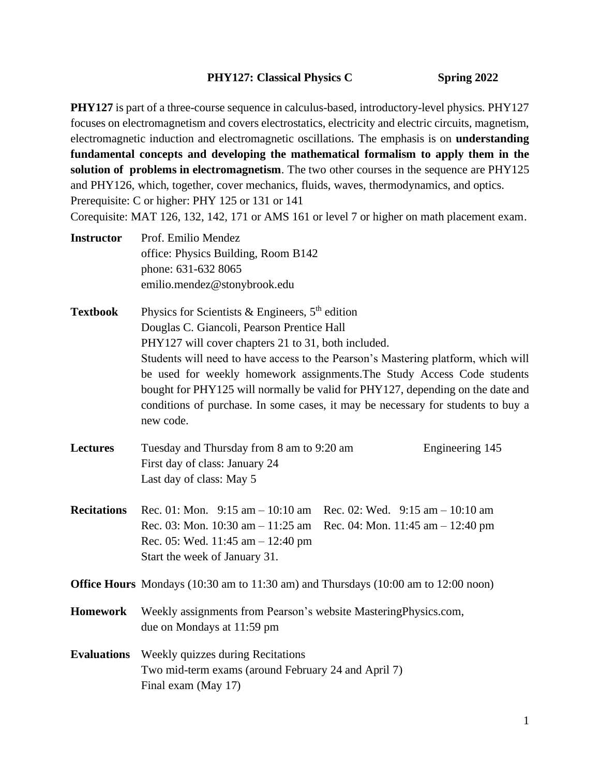### **PHY127:** Classical Physics C Spring 2022

**PHY127** is part of a three-course sequence in calculus-based, introductory-level physics. PHY127 focuses on electromagnetism and covers electrostatics, electricity and electric circuits, magnetism, electromagnetic induction and electromagnetic oscillations. The emphasis is on **understanding fundamental concepts and developing the mathematical formalism to apply them in the solution of problems in electromagnetism**. The two other courses in the sequence are PHY125 and PHY126, which, together, cover mechanics, fluids, waves, thermodynamics, and optics. Prerequisite: C or higher: PHY 125 or 131 or 141

Corequisite: MAT 126, 132, 142, 171 or AMS 161 or level 7 or higher on math placement exam.

- **Instructor** Prof. Emilio Mendez office: Physics Building, Room B142 phone: 631-632 8065 emilio.mendez@stonybrook.edu
- **Textbook** Physics for Scientists & Engineers, 5<sup>th</sup> edition Douglas C. Giancoli, Pearson Prentice Hall PHY127 will cover chapters 21 to 31, both included. Students will need to have access to the Pearson's Mastering platform, which will be used for weekly homework assignments.The Study Access Code students bought for PHY125 will normally be valid for PHY127, depending on the date and conditions of purchase. In some cases, it may be necessary for students to buy a new code.
- **Lectures** Tuesday and Thursday from 8 am to 9:20 am Engineering 145 First day of class: January 24 Last day of class: May 5
- **Recitations** Rec. 01: Mon. 9:15 am 10:10 am Rec. 02: Wed. 9:15 am 10:10 am Rec. 03: Mon. 10:30 am – 11:25 am Rec. 04: Mon. 11:45 am – 12:40 pm Rec. 05: Wed. 11:45 am – 12:40 pm Start the week of January 31.

**Office Hours** Mondays (10:30 am to 11:30 am) and Thursdays (10:00 am to 12:00 noon)

**Homework** Weekly assignments from Pearson's website MasteringPhysics.com, due on Mondays at 11:59 pm

# **Evaluations** Weekly quizzes during Recitations Two mid-term exams (around February 24 and April 7) Final exam (May 17)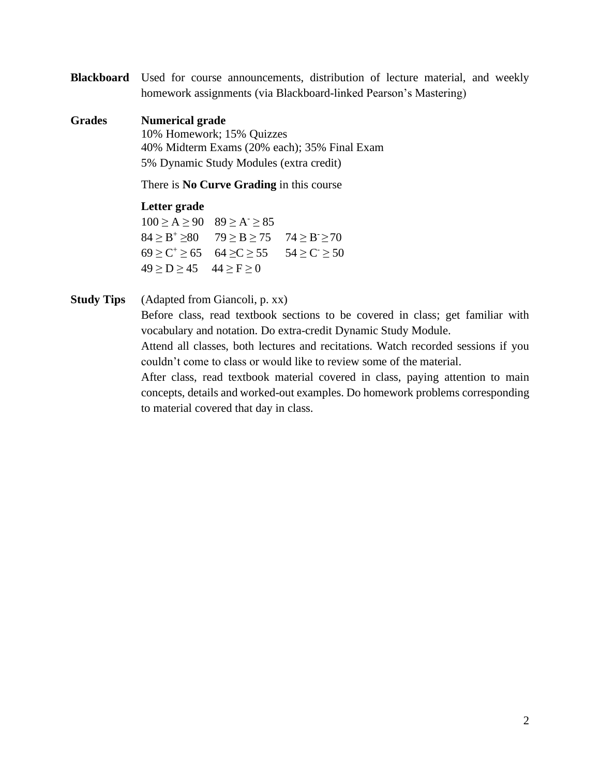**Blackboard** Used for course announcements, distribution of lecture material, and weekly homework assignments (via Blackboard-linked Pearson's Mastering)

### **Grades Numerical grade**

10% Homework; 15% Quizzes 40% Midterm Exams (20% each); 35% Final Exam 5% Dynamic Study Modules (extra credit)

There is **No Curve Grading** in this course

#### **Letter grade**

 $100 \ge A \ge 90$   $89 \ge A \ge 85$  $84 \geq B^+ \geq 80$   $79 \geq B \geq 75$   $74 \geq B \geq 70$  $69 \ge C^+ \ge 65$   $64 \ge C \ge 55$   $54 \ge C \ge 50$  $49 \ge D \ge 45$   $44 \ge F \ge 0$ 

### **Study Tips** (Adapted from Giancoli, p. xx)

Before class, read textbook sections to be covered in class; get familiar with vocabulary and notation. Do extra-credit Dynamic Study Module.

Attend all classes, both lectures and recitations. Watch recorded sessions if you couldn't come to class or would like to review some of the material.

After class, read textbook material covered in class, paying attention to main concepts, details and worked-out examples. Do homework problems corresponding to material covered that day in class.